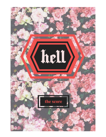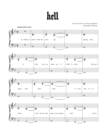

words and music by linnea siggelkow and brandon williams







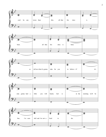







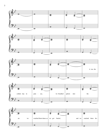







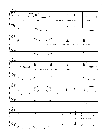







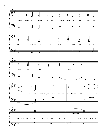